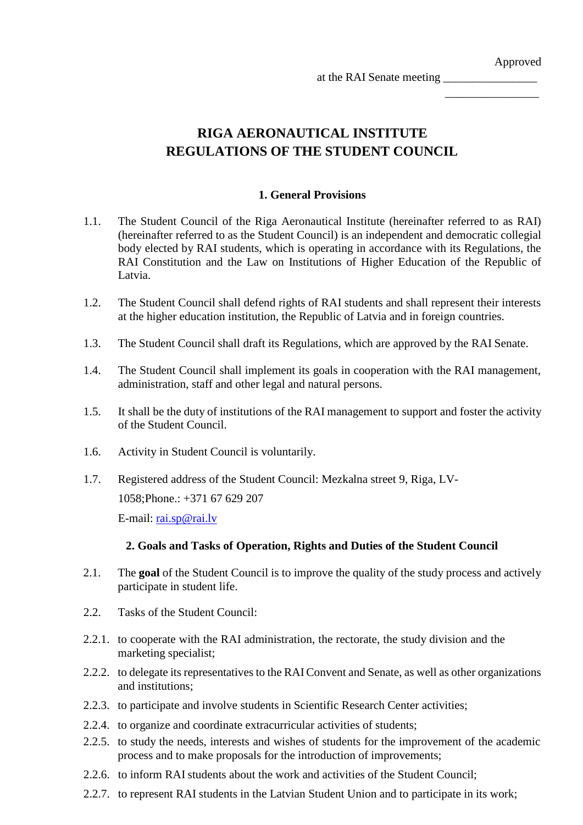Approved

 $\overline{\phantom{a}}$  , where  $\overline{\phantom{a}}$ 

at the RAI Senate meeting \_\_\_\_\_\_\_\_\_\_\_\_\_\_\_\_

**RIGA AERONAUTICAL INSTITUTE REGULATIONS OF THE STUDENT COUNCIL**

# **1. General Provisions**

- 1.1. The Student Council of the Riga Aeronautical Institute (hereinafter referred to as RAI) (hereinafter referred to as the Student Council) is an independent and democratic collegial body elected by RAI students, which is operating in accordance with its Regulations, the RAI Constitution and the Law on Institutions of Higher Education of the Republic of Latvia.
- 1.2. The Student Council shall defend rights of RAI students and shall represent their interests at the higher education institution, the Republic of Latvia and in foreign countries.
- 1.3. The Student Council shall draft its Regulations, which are approved by the RAI Senate.
- 1.4. The Student Council shall implement its goals in cooperation with the RAI management, administration, staff and other legal and natural persons.
- 1.5. It shall be the duty of institutions of the RAI management to support and foster the activity of the Student Council.
- 1.6. Activity in Student Council is voluntarily.
- 1.7. Registered address of the Student Council: Mezkalna street 9, Riga, LV-1058;Phone.: +371 67 629 207 E-mail: [rai.sp@rai.lv](mailto:rai.sp@rai.lv)

### **2. Goals and Tasks of Operation, Rights and Duties of the Student Council**

- 2.1. The **goal** of the Student Council is to improve the quality of the study process and actively participate in student life.
- 2.2. Tasks of the Student Council:
- 2.2.1. to cooperate with the RAI administration, the rectorate, the study division and the marketing specialist;
- 2.2.2. to delegate its representatives to the RAIConvent and Senate, as well as other organizations and institutions;
- 2.2.3. to participate and involve students in Scientific Research Center activities;
- 2.2.4. to organize and coordinate extracurricular activities of students;
- 2.2.5. to study the needs, interests and wishes of students for the improvement of the academic process and to make proposals for the introduction of improvements;
- 2.2.6. to inform RAI students about the work and activities of the Student Council;
- 2.2.7. to represent RAI students in the Latvian Student Union and to participate in its work;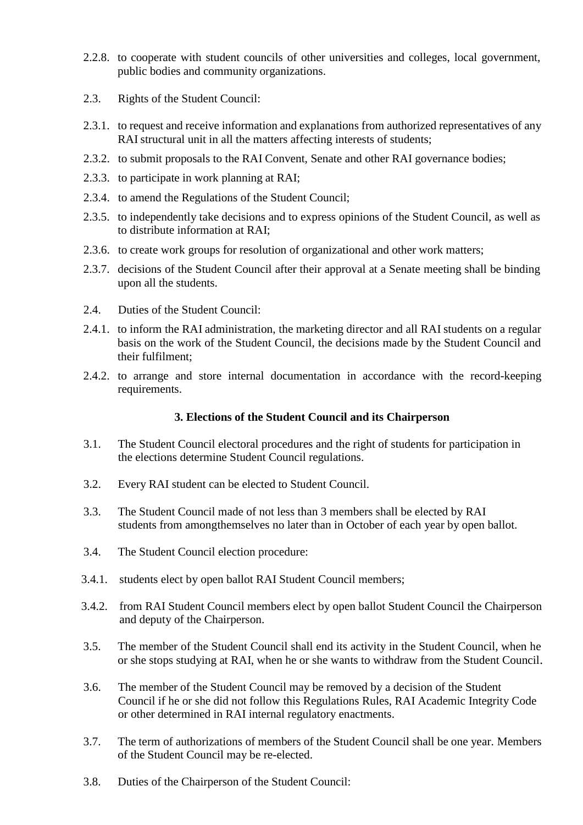- 2.2.8. to cooperate with student councils of other universities and colleges, local government, public bodies and community organizations.
- 2.3. Rights of the Student Council:
- 2.3.1. to request and receive information and explanations from authorized representatives of any RAI structural unit in all the matters affecting interests of students;
- 2.3.2. to submit proposals to the RAI Convent, Senate and other RAI governance bodies;
- 2.3.3. to participate in work planning at RAI;
- 2.3.4. to amend the Regulations of the Student Council;
- 2.3.5. to independently take decisions and to express opinions of the Student Council, as well as to distribute information at RAI;
- 2.3.6. to create work groups for resolution of organizational and other work matters;
- 2.3.7. decisions of the Student Council after their approval at a Senate meeting shall be binding upon all the students.
- 2.4. Duties of the Student Council:
- 2.4.1. to inform the RAI administration, the marketing director and all RAI students on a regular basis on the work of the Student Council, the decisions made by the Student Council and their fulfilment;
- 2.4.2. to arrange and store internal documentation in accordance with the record-keeping requirements.

### **3. Elections of the Student Council and its Chairperson**

- 3.1. The Student Council electoral procedures and the right of students for participation in the elections determine Student Council regulations.
- 3.2. Every RAI student can be elected to Student Council.
- 3.3. The Student Council made of not less than 3 members shall be elected by RAI students from amongthemselves no later than in October of each year by open ballot.
- 3.4. The Student Council election procedure:
- 3.4.1. students elect by open ballot RAI Student Council members;
- 3.4.2. from RAI Student Council members elect by open ballot Student Council the Chairperson and deputy of the Chairperson.
- 3.5. The member of the Student Council shall end its activity in the Student Council, when he or she stops studying at RAI, when he or she wants to withdraw from the Student Council.
- 3.6. The member of the Student Council may be removed by a decision of the Student Council if he or she did not follow this Regulations Rules, RAI Academic Integrity Code or other determined in RAI internal regulatory enactments.
- 3.7. The term of authorizations of members of the Student Council shall be one year. Members of the Student Council may be re-elected.
- 3.8. Duties of the Chairperson of the Student Council: